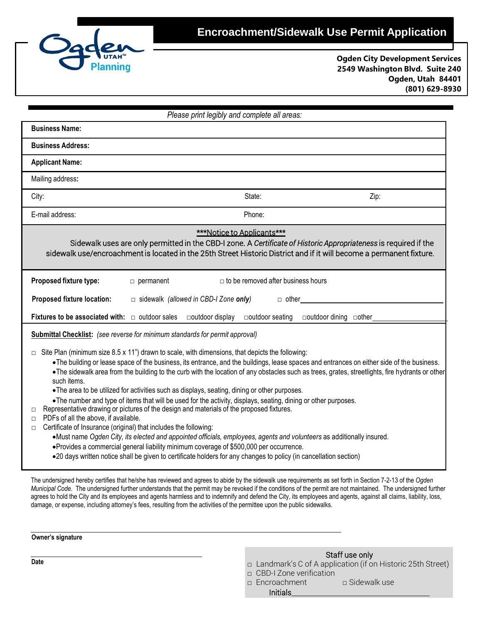

**Ogden City Development Services 2549 Washington Blvd. Suite 240 Ogden, Utah 84401 (801) 629-8930**

| Please print legibly and complete all areas:                                                                                                                                                                                                                                                                                                                                                                                                                                                                                                                                                                                                                                                                                                                                                                                                                                                                                                                                                                                                                                                                                                                                                                                                                                                                         |
|----------------------------------------------------------------------------------------------------------------------------------------------------------------------------------------------------------------------------------------------------------------------------------------------------------------------------------------------------------------------------------------------------------------------------------------------------------------------------------------------------------------------------------------------------------------------------------------------------------------------------------------------------------------------------------------------------------------------------------------------------------------------------------------------------------------------------------------------------------------------------------------------------------------------------------------------------------------------------------------------------------------------------------------------------------------------------------------------------------------------------------------------------------------------------------------------------------------------------------------------------------------------------------------------------------------------|
| <b>Business Name:</b>                                                                                                                                                                                                                                                                                                                                                                                                                                                                                                                                                                                                                                                                                                                                                                                                                                                                                                                                                                                                                                                                                                                                                                                                                                                                                                |
| <b>Business Address:</b>                                                                                                                                                                                                                                                                                                                                                                                                                                                                                                                                                                                                                                                                                                                                                                                                                                                                                                                                                                                                                                                                                                                                                                                                                                                                                             |
| <b>Applicant Name:</b>                                                                                                                                                                                                                                                                                                                                                                                                                                                                                                                                                                                                                                                                                                                                                                                                                                                                                                                                                                                                                                                                                                                                                                                                                                                                                               |
| Mailing address:                                                                                                                                                                                                                                                                                                                                                                                                                                                                                                                                                                                                                                                                                                                                                                                                                                                                                                                                                                                                                                                                                                                                                                                                                                                                                                     |
| State:<br>City:<br>Zip:                                                                                                                                                                                                                                                                                                                                                                                                                                                                                                                                                                                                                                                                                                                                                                                                                                                                                                                                                                                                                                                                                                                                                                                                                                                                                              |
| E-mail address:<br>Phone:                                                                                                                                                                                                                                                                                                                                                                                                                                                                                                                                                                                                                                                                                                                                                                                                                                                                                                                                                                                                                                                                                                                                                                                                                                                                                            |
| <b>***Notice to Applicants***</b><br>Sidewalk uses are only permitted in the CBD-I zone. A Certificate of Historic Appropriateness is required if the<br>sidewalk use/encroachment is located in the 25th Street Historic District and if it will become a permanent fixture.                                                                                                                                                                                                                                                                                                                                                                                                                                                                                                                                                                                                                                                                                                                                                                                                                                                                                                                                                                                                                                        |
| $\Box$ to be removed after business hours<br>Proposed fixture type:<br>$\Box$ permanent                                                                                                                                                                                                                                                                                                                                                                                                                                                                                                                                                                                                                                                                                                                                                                                                                                                                                                                                                                                                                                                                                                                                                                                                                              |
| Proposed fixture location:<br>$\Box$ sidewalk (allowed in CBD-I Zone only)<br>$\Box$ other                                                                                                                                                                                                                                                                                                                                                                                                                                                                                                                                                                                                                                                                                                                                                                                                                                                                                                                                                                                                                                                                                                                                                                                                                           |
| Fixtures to be associated with: $\Box$ outdoor sales<br>□outdoor seating<br>□outdoor dining □other<br>□outdoor display                                                                                                                                                                                                                                                                                                                                                                                                                                                                                                                                                                                                                                                                                                                                                                                                                                                                                                                                                                                                                                                                                                                                                                                               |
| <b>Submittal Checklist:</b> (see reverse for minimum standards for permit approval)<br>Site Plan (minimum size 8.5 x 11") drawn to scale, with dimensions, that depicts the following:<br>$\Box$<br>• The building or lease space of the business, its entrance, and the buildings, lease spaces and entrances on either side of the business.<br>. The sidewalk area from the building to the curb with the location of any obstacles such as trees, grates, streetlights, fire hydrants or other<br>such items.<br>. The area to be utilized for activities such as displays, seating, dining or other purposes.<br>. The number and type of items that will be used for the activity, displays, seating, dining or other purposes.<br>Representative drawing or pictures of the design and materials of the proposed fixtures.<br>$\Box$<br>PDFs of all the above, if available.<br>$\Box$<br>Certificate of Insurance (original) that includes the following:<br>$\Box$<br>•Must name Ogden City, its elected and appointed officials, employees, agents and volunteers as additionally insured.<br>• Provides a commercial general liability minimum coverage of \$500,000 per occurrence.<br>•20 days written notice shall be given to certificate holders for any changes to policy (in cancellation section) |

The undersigned hereby certifies that he/she has reviewed and agrees to abide by the sidewalk use requirements as set forth in Section 7-2-13 of the *Ogden Municipal Code*. The undersigned further understands that the permit may be revoked if the conditions of the permit are not maintained. The undersigned further agrees to hold the City and its employees and agents harmless and to indemnify and defend the City, its employees and agents, against all claims, liability, loss, damage, or expense, including attorney's fees, resulting from the activities of the permittee upon the public sidewalks.

## **Owner's signature**

- Staff use only
- **□** Landmark's C of A application (if on Historic 25th Street)
- □ CBD-I Zone verification
- □ Encroachment □ □ Sidewalk use Initials